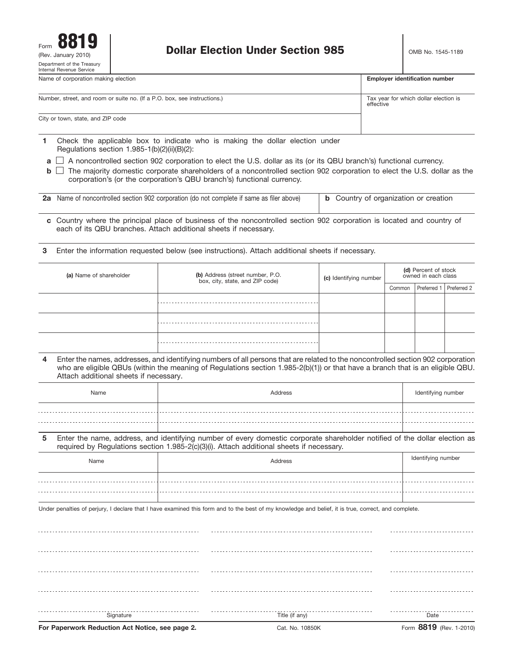effective

Name of corporation making election **Employer identification number Employer identification number** 

Number, street, and room or suite no. (If a P.O. box, see instructions.) Tax year for which dollar election is

City or town, state, and ZIP code

- **1** Check the applicable box to indicate who is making the dollar election under Regulations section 1.985-1(b)(2)(ii)(B)(2):
	- $a \,\bigsqcup\,$  A noncontrolled section 902 corporation to elect the U.S. dollar as its (or its QBU branch's) functional currency.
- $\mathsf{b} \,\, \Box$  The majority domestic corporate shareholders of a noncontrolled section 902 corporation to elect the U.S. dollar as the corporation's (or the corporation's QBU branch's) functional currency.

| <b>2a</b> Name of noncontrolled section 902 corporation (do not complete if same as filer above) |  | <b>b</b> Country of organization or creation |  |  |  |
|--------------------------------------------------------------------------------------------------|--|----------------------------------------------|--|--|--|
|                                                                                                  |  |                                              |  |  |  |

- Country where the principal place of business of the noncontrolled section 902 corporation is located and country of **c** each of its QBU branches. Attach additional sheets if necessary.
- **3** Enter the information requested below (see instructions). Attach additional sheets if necessary.

| (a) Name of shareholder | (b) Address (street number, P.O.<br>box, city, state, and ZIP code) | (c) Identifying number | (d) Percent of stock<br>owned in each class |                           |  |  |
|-------------------------|---------------------------------------------------------------------|------------------------|---------------------------------------------|---------------------------|--|--|
|                         |                                                                     |                        | Common                                      | Preferred 1   Preferred 2 |  |  |
|                         |                                                                     |                        |                                             |                           |  |  |
|                         |                                                                     |                        |                                             |                           |  |  |
|                         |                                                                     |                        |                                             |                           |  |  |

Enter the names, addresses, and identifying numbers of all persons that are related to the noncontrolled section 902 corporation who are eligible QBUs (within the meaning of Regulations section 1.985-2(b)(1)) or that have a branch that is an eligible QBU. Attach additional sheets if necessary. **4**

| Name | Address | Identifying number |
|------|---------|--------------------|
|      |         |                    |
|      |         |                    |
|      |         |                    |

Enter the name, address, and identifying number of every domestic corporate shareholder notified of the dollar election as required by Regulations section 1.985-2(c)(3)(i). Attach additional sheets if necessary. **5**

| Name | Address | Identifying number |
|------|---------|--------------------|
|      |         |                    |
|      |         |                    |
|      |         |                    |

Under penalties of perjury, I declare that I have examined this form and to the best of my knowledge and belief, it is true, correct, and complete.

Signature **Title (if any)** Date of the Signature of the Contract of the Contract of Title (if any)

**For Paperwork Reduction Act Notice, see page 2.**